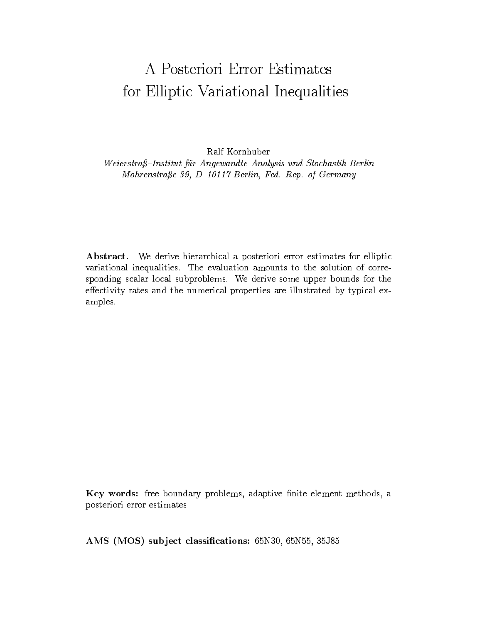# A Posteriori Error Estimates for Elliptic Variational Inequalities

Ralf Kornhuber

Weierstraß-Institut für Angewandte Analysis und Stochastik Berlin Mohrenstraße 39, D-10117 Berlin, Fed. Rep. of Germany

Abstract. We derive hierarchical a posteriori error estimates for elliptic variational inequalities. The evaluation amounts to the solution of corresponding scalar local subproblems. We derive some upper bounds for the effectivity rates and the numerical properties are illustrated by typical examples.

Key words: free boundary problems, adaptive finite element methods, a posteriori error estimates

AMS (MOS) subject classifications: 65N30, 65N55, 35J85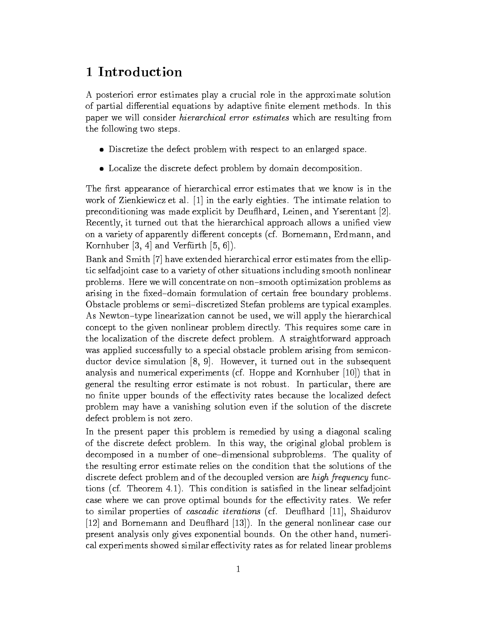#### 1 Introduction

A posteriori error estimates play a crucial role in the approximate solution of partial differential equations by adaptive finite element methods. In this paper we will consider hierarchical error estimates which are resulting from the following two steps.

- Discretize the defect problem with respect to an enlarged space.
- Localize the discrete defect problem by domain decomposition.

The first appearance of hierarchical error estimates that we know is in the work of Zienkiewicz et al. [1] in the early eighties. The intimate relation to preconditioning was made explicit by Deu
hard, Leinen, and Yserentant [2]. Recently, it turned out that the hierarchical approach allows a unified view on a variety of apparently different concepts (cf. Bornemann, Erdmann, and Kornhuber  $[3, 4]$  and Verfürth  $[5, 6]$ ).

Bank and Smith [7] have extended hierarchical error estimates from the elliptic selfadjoint case to a variety of other situations including smooth nonlinear problems. Here we will concentrate on non{smooth optimization problems as arising in the fixed-domain formulation of certain free boundary problems. Obstacle problems or semi-discretized Stefan problems are typical examples. As Newton-type linearization cannot be used, we will apply the hierarchical concept to the given nonlinear problem directly. This requires some care in the localization of the discrete defect problem. A straightforward approach was applied successfully to a special obstacle problem arising from semiconductor device simulation [8, 9]. However, it turned out in the subsequent analysis and numerical experiments (cf. Hoppe and Kornhuber [10]) that in general the resulting error estimate is not robust. In particular, there are no finite upper bounds of the effectivity rates because the localized defect problem may have a vanishing solution even if the solution of the discrete defect problem is not zero.

In the present paper this problem is remedied by using a diagonal scaling of the discrete defect problem. In this way, the original global problem is decomposed in a number of one-dimensional subproblems. The quality of the resulting error estimate relies on the condition that the solutions of the discrete defect problem and of the decoupled version are *high frequency* functions (cf. Theorem 4.1). This condition is satised in the linear selfadjoint case where we can prove optimal bounds for the effectivity rates. We refer to similar properties of *cascadic iterations* (cf. Deuflhard [11], Shaidurov [12] and Bornemann and Deuflhard [13]). In the general nonlinear case our present analysis only gives exponential bounds. On the other hand, numerical experiments showed similar effectivity rates as for related linear problems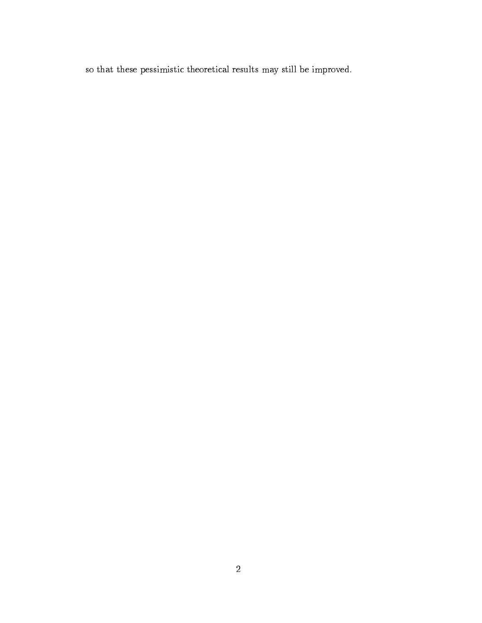so that these pessimistic theoretical results may still be improved.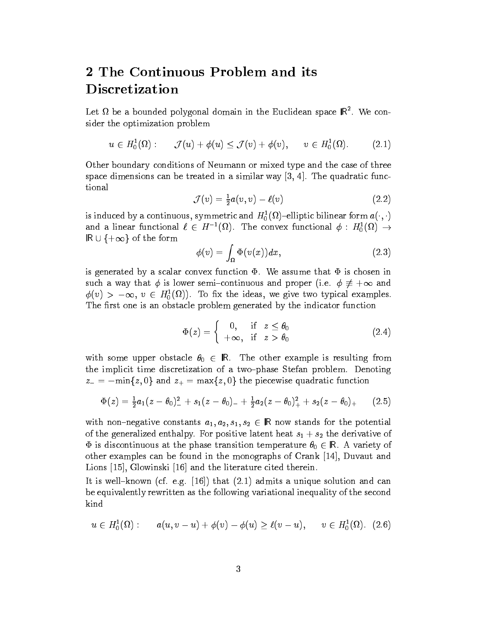## 2 The Continuous Problem and itsDiscretization

Let M be a bounded polygonal domain in the Euclidean space IK. We consider the optimization problem

$$
u \in H_0^1(\Omega): \quad \mathcal{J}(u) + \phi(u) \leq \mathcal{J}(v) + \phi(v), \quad v \in H_0^1(\Omega). \tag{2.1}
$$

Other boundary conditions of Neumann or mixed type and the case of three space dimensions can be treated in a similar way  $[3, 4]$ . The quadratic func-

$$
\mathcal{J}(v) = \frac{1}{2}a(v,v) - \ell(v) \tag{2.2}
$$

is induced by a continuous, symmetric and  $H_0^-(\Omega)$  –elliptic bilinear form  $a(\cdot, \cdot)$ and a linear functional  $\ell \in H^{-1}(M)$ . The convex functional  $\varphi : H_0^1(M) \to$ R [ f i i j of the forms ]

$$
\phi(v) = \int_{\Omega} \Phi(v(x)) dx, \qquad (2.3)
$$

is generated by a scalar convex function  $\Phi$ . We assume that  $\Phi$  is chosen in such a way that  $\phi$  is lower semi-continuous and proper (i.e.  $\phi \neq +\infty$  and  $\varphi(v) > -\infty, v \in H^1_0(M)$ . To fix the ideas, we give two typical examples. The first one is an obstacle problem generated by the indicator function

$$
\Phi(z) = \begin{cases} 0, & \text{if } z \le \theta_0 \\ +\infty, & \text{if } z > \theta_0 \end{cases} \tag{2.4}
$$

with some upper obstacle  $\theta_0 \in \mathbb{R}$ . The other example is resulting from the implicit time discretization of a two-phase Stefan problem. Denoting  $z = -\min\{z, 0\}$  and  $z_+ = \max\{z, 0\}$  the piecewise quadratic function

$$
\Phi(z) = \frac{1}{2}a_1(z-\theta_0)^2 + s_1(z-\theta_0)^2 + \frac{1}{2}a_2(z-\theta_0)^2 + s_2(z-\theta_0)^2 \qquad (2.5)
$$

with non-negative constants  $a_1, a_2, s_1, s_2 \in \mathbb{R}$  now stands for the potential of the generalized enthalpy. For positive latent heat  $s_1 + s_2$  the derivative of  $\Phi$  is discontinuous at the phase transition temperature  $\theta_0 \in \mathbb{R}$ . A variety of other examples can be found in the monographs of Crank [14], Duvaut and Lions [15], Glowinski [16] and the literature cited therein.

It is well-known (cf. e.g.  $(16)$ ) that  $(2.1)$  admits a unique solution and can be equivalently rewritten as the following variational inequality of the second kind

$$
u \in H_0^1(\Omega): \qquad a(u,v-u) + \phi(v) - \phi(u) \ge \ell(v-u), \qquad v \in H_0^1(\Omega). \tag{2.6}
$$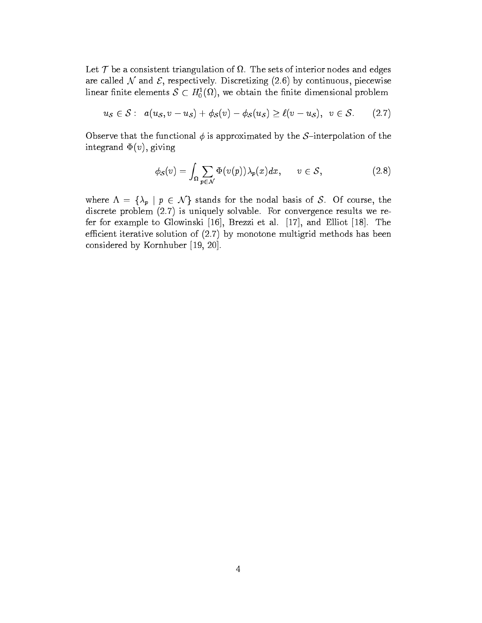. The sets of the sets of interior of interior of interior nodes and engine are called  $N$  and  $\mathcal{E}$ , respectively. Discretizing (2.6) by continuous, piecewise linear finite elements  $S \subset H_0^1(\Omega)$ , we obtain the finite dimensional problem

$$
u_{\mathcal{S}} \in \mathcal{S}: \ \ a(u_{\mathcal{S}}, v - u_{\mathcal{S}}) + \phi_{\mathcal{S}}(v) - \phi_{\mathcal{S}}(u_{\mathcal{S}}) \geq \ell(v - u_{\mathcal{S}}), \ \ v \in \mathcal{S}. \tag{2.7}
$$

Observe that the functional  $\phi$  is approximated by the S-interpolation of the integrand  $\Phi(v)$ , giving

$$
\phi_{\mathcal{S}}(v) = \int_{\Omega} \sum_{p \in \mathcal{N}} \Phi(v(p)) \lambda_p(x) dx, \qquad v \in \mathcal{S}, \tag{2.8}
$$

where  $\Lambda = {\lambda_p \mid p \in \mathcal{N}}$  stands for the nodal basis of S. Of course, the discrete problem (2.7) is uniquely solvable. For convergence results we refer for example to Glowinski [16], Brezzi et al. [17], and Elliot [18]. The efficient iterative solution of  $(2.7)$  by monotone multigrid methods has been considered by Kornhuber [19, 20].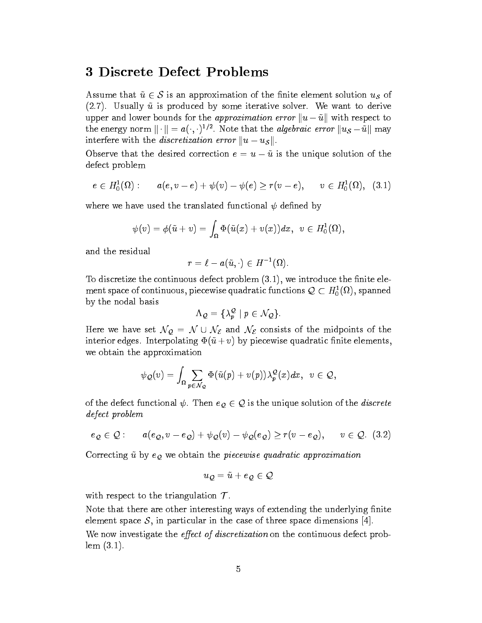#### 3 Discrete Defect Problems

Assume that  $\tilde{u} \in S$  is an approximation of the finite element solution  $u_S$  of  $(2.7)$ . Usually  $\tilde{u}$  is produced by some iterative solver. We want to derive upper and lower bounds for the approximation error  $||u-\tilde{u}||$  with respect to the energy norm  $|| \cdot || = a(\cdot, \cdot)^{-1}$  . Note that the *algebraic error*  $||u_{\mathcal{S}} - u||$  may interfere with the *discretization error*  $||u - u_{\mathcal{S}}||$ .

Observe that the desired correction  $e = u - \tilde{u}$  is the unique solution of the defect problem

$$
e \in H_0^1(\Omega): \qquad a(e,v-e)+\psi(v)-\psi(e) \geq r(v-e), \qquad v \in H_0^1(\Omega), \ \ (3.1)
$$

where we have used the translated functional  $\psi$  defined by

$$
\psi(v)=\phi(\tilde u+v)=\int_\Omega\Phi(\tilde u(x)+v(x))dx,\ \ v\in H^1_0(\Omega),
$$

and the residual

$$
r=\ell-a(\tilde u,\cdot)\in H^{-1}(\Omega).
$$

To discretize the continuous defect problem  $(3.1)$ , we introduce the finite element space of continuous, piecewise quadratic functions  $\mathcal{Q} \subset H^1_0(M)$ , spanned by the nodal basis

$$
\Lambda_{\mathcal{Q}} = \{ \lambda_p^{\mathcal{Q}} \mid p \in \mathcal{N}_{\mathcal{Q}} \}.
$$

Here we have set  $\mathcal{N}_{\mathcal{Q}} = \mathcal{N} \cup \mathcal{N}_{\mathcal{E}}$  and  $\mathcal{N}_{\mathcal{E}}$  consists of the midpoints of the interior edges. Interpolating  $\Phi(\tilde{u}+v)$  by piecewise quadratic finite elements, we obtain the approximation

$$
\psi_{\mathcal Q}(v)=\int_\Omega \sum_{p\in {\mathcal N}_{\mathcal Q}} \Phi(\tilde u(p)+v(p)) \lambda_p^{\mathcal Q}(x) dx,\;\; v\in {\mathcal Q},
$$

of the defect functional  $\psi$ . Then  $e_Q \in \mathcal{Q}$  is the unique solution of the *discrete* defect problem

$$
e_{\mathcal{Q}} \in \mathcal{Q} : \qquad a(e_{\mathcal{Q}}, v - e_{\mathcal{Q}}) + \psi_{\mathcal{Q}}(v) - \psi_{\mathcal{Q}}(e_{\mathcal{Q}}) \geq r(v - e_{\mathcal{Q}}), \qquad v \in \mathcal{Q}. \tag{3.2}
$$

Correcting  $\tilde{u}$  by  $e_Q$  we obtain the piecewise quadratic approximation

$$
u_{\mathcal{Q}}=\tilde{u}+e_{\mathcal{Q}}\in\mathcal{Q}
$$

with respect to the triangulation  $\mathcal{T}$ .

Note that there are other interesting ways of extending the underlying finite element space  $S$ , in particular in the case of three space dimensions [4]. We now investigate the *effect of discretization* on the continuous defect problem (3.1).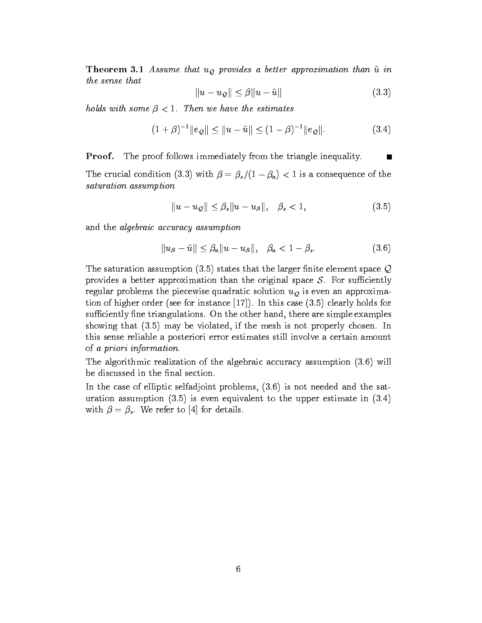**Theorem 3.1** Assume that  $u<sub>Q</sub>$  provides a better approximation than  $\tilde{u}$  in the sense that

$$
||u - u_{\mathcal{Q}}|| \leq \beta ||u - \tilde{u}|| \tag{3.3}
$$

holds with some  $\beta$  < 1. Then we have the estimates

$$
(1+\beta)^{-1} \|e_{\mathcal{Q}}\| \le \|u - \tilde{u}\| \le (1-\beta)^{-1} \|e_{\mathcal{Q}}\|.
$$
 (3.4)

Proof. The proof follows immediately from the triangle inequality.

The crucial condition (3.3) with  $\beta = \beta_s/(1 - \beta_a) < 1$  is a consequence of the saturation assumption

$$
||u - u_{\mathcal{Q}}|| \leq \beta_s ||u - u_{\mathcal{S}}||, \quad \beta_s < 1,\tag{3.5}
$$

and the algebraic accuracy assumption

$$
||u_{\mathcal{S}} - \tilde{u}|| \leq \beta_a ||u - u_{\mathcal{S}}||, \quad \beta_a < 1 - \beta_s. \tag{3.6}
$$

The saturation assumption (3.5) states that the larger finite element space  $\mathcal Q$ provides a better approximation than the original space  $S$ . For sufficiently regular problems the piecewise quadratic solution  $u_{\mathcal{Q}}$  is even an approximation of higher order (see for instance [17]). In this case (3.5) clearly holds for sufficiently fine triangulations. On the other hand, there are simple examples showing that (3.5) may be violated, if the mesh is not properly chosen. In this sense reliable a posteriori error estimates still involve a certain amount of a priori information.

The algorithmic realization of the algebraic accuracy assumption (3.6) will be discussed in the final section.

In the case of elliptic selfadjoint problems, (3.6) is not needed and the saturation assumption  $(3.5)$  is even equivalent to the upper estimate in  $(3.4)$ with  $\beta = \beta_s$ . We refer to [4] for details.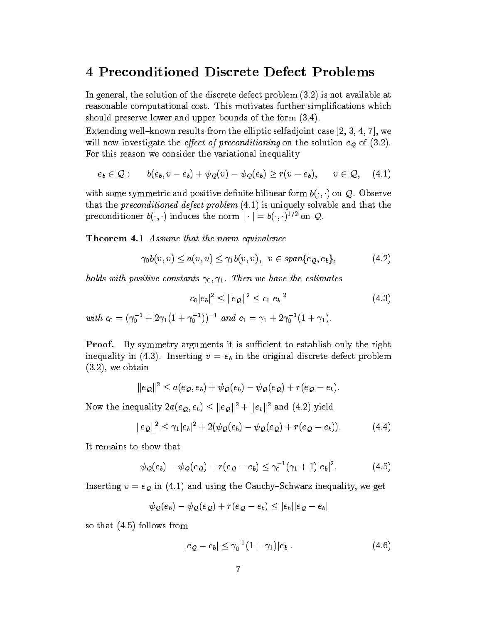#### 4 Preconditioned Discrete Defect Problems

In general, the solution of the discrete defect problem (3.2) is not available at reasonable computational cost. This motivates further simplifications which should preserve lower and upper bounds of the form (3.4).

Extending well-known results from the elliptic selfadjoint case  $[2, 3, 4, 7]$ , we will now investigate the effect of preconditioning on the solution eq of  $(3.2)$ . For this reason we consider the variational inequality

$$
e_b \in \mathcal{Q} : \qquad b(e_b, v - e_b) + \psi_{\mathcal{Q}}(v) - \psi_{\mathcal{Q}}(e_b) \geq r(v - e_b), \qquad v \in \mathcal{Q}, \quad (4.1)
$$

with some symmetric and positive definite bilinear form  $b(\cdot, \cdot)$  on  $Q$ . Observe that the *preconditioned defect problem*  $(4.1)$  is uniquely solvable and that the preconditioner  $\mathfrak{d}(\cdot, \cdot)$  induces the norm  $|\cdot| = \mathfrak{d}(\cdot, \cdot)^{-1}$  on  $\mathcal{Q}$ .

Theorem 4.1 Assume that the norm equivalence

$$
\gamma_0 b(v,v) \le a(v,v) \le \gamma_1 b(v,v), \quad v \in span\{e_{\mathcal{Q}},e_b\},\tag{4.2}
$$

holds with positive constants  $\gamma_0, \gamma_1$ . Then we have the estimates

$$
c_0|e_b|^2 \leq ||e_{\mathcal{Q}}||^2 \leq c_1|e_b|^2 \tag{4.3}
$$

with  $c_0 = (\gamma_0 + 2\gamma_1(1 + \gamma_0))$  and  $c_1 = \gamma_1 + 2\gamma_0(1 + \gamma_1)$ .

**Proof.** By symmetry arguments it is sufficient to establish only the right inequality in (4.3). Inserting  $v = e_b$  in the original discrete defect problem (3.2), we obtain

$$
\|e_{\mathcal{Q}}\|^2 \leq a(e_{\mathcal{Q}},e_b)+\psi_{\mathcal{Q}}(e_b)-\psi_{\mathcal{Q}}(e_{\mathcal{Q}})+r(e_{\mathcal{Q}}-e_b).
$$

Now the inequality  $2a(e_{\mathcal{Q}}, e_b) \leq ||e_{\mathcal{Q}}||^2 + ||e_b||^2$  and (4.2) yield

$$
||e_{\mathcal{Q}}||^2 \leq \gamma_1 |e_b|^2 + 2(\psi_{\mathcal{Q}}(e_b) - \psi_{\mathcal{Q}}(e_{\mathcal{Q}}) + r(e_{\mathcal{Q}} - e_b)). \tag{4.4}
$$

$$
\psi_{\mathcal{Q}}(e_b) - \psi_{\mathcal{Q}}(e_{\mathcal{Q}}) + r(e_{\mathcal{Q}} - e_b) \leq \gamma_0^{-1}(\gamma_1 + 1)|e_b|^2. \tag{4.5}
$$

Inserting  $v = e_Q$  in (4.1) and using the Cauchy-Schwarz inequality, we get

$$
\psi_{\mathcal{Q}}(e_b) - \psi_{\mathcal{Q}}(e_{\mathcal{Q}}) + r(e_{\mathcal{Q}} - e_b) \leq |e_b||e_{\mathcal{Q}} - e_b|
$$

so that (4.5) follows from

$$
|e_{\mathcal{Q}} - e_b| \leq \gamma_0^{-1} (1 + \gamma_1) |e_b|.
$$
 (4.6)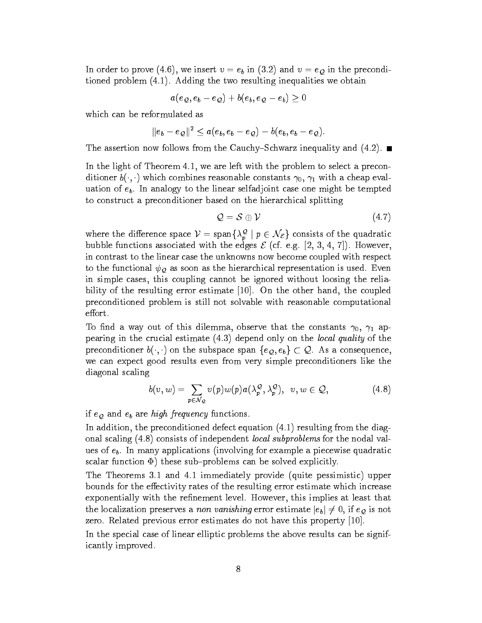In order to prove (4.6), we insert  $v = e_b$  in (3.2) and  $v = e_a$  in the preconditioned problem (4.1). Adding the two resulting inequalities we obtain

$$
a(e_\mathcal{Q},e_b-e_\mathcal{Q})+b(e_b,e_\mathcal{Q}-e_b)\geq 0
$$

which can be reformulated as

$$
\|e_b-e_{\mathcal{Q}}\|^2\leq a(e_b,e_b-e_{\mathcal{Q}})-b(e_b,e_b-e_{\mathcal{Q}}).
$$

The assertion now follows from the Cauchy–Schwarz inequality and  $(4.2)$ .

In the light of Theorem 4.1, we are left with the problem to select a preconditioner  $b(\cdot, \cdot)$  which combines reasonable constants  $\gamma_0$ ,  $\gamma_1$  with a cheap evaluation of  $e_b$ . In analogy to the linear selfadjoint case one might be tempted to construct a preconditioner based on the hierarchical splitting

$$
\mathcal{Q} = \mathcal{S} \oplus \mathcal{V} \tag{4.7}
$$

where the difference space  $V =$  span $\{\lambda_p^{\infty} \mid p \in N_{\mathcal{E}}\}$  consists of the quadratic bubble functions associated with the edges  $\mathcal{E}$  (cf. e.g. [2, 3, 4, 7]). However, in contrast to the linear case the unknowns now become coupled with respect to the functional  $\psi_{\mathcal{Q}}$  as soon as the hierarchical representation is used. Even in simple cases, this coupling cannot be ignored without loosing the reliability of the resulting error estimate [10]. On the other hand, the coupled preconditioned problem is still not solvable with reasonable computational effort.

To find a way out of this dilemma, observe that the constants  $\gamma_0$ ,  $\gamma_1$  appearing in the crucial estimate (4.3) depend only on the local quality of the preconditioner  $b(\cdot, \cdot)$  on the subspace span  $\{e_Q, e_b\} \subset \mathcal{Q}$ . As a consequence, we can expect good results even from very simple preconditioners like the diagonal scaling

$$
b(v, w) = \sum_{p \in \mathcal{N}_{\mathcal{Q}}} v(p) w(p) a(\lambda_p^{\mathcal{Q}}, \lambda_p^{\mathcal{Q}}), \quad v, w \in \mathcal{Q}, \tag{4.8}
$$

#### if  $e_Q$  and  $e_b$  are *high frequency* functions.

In addition, the preconditioned defect equation (4.1) resulting from the diagonal scaling (4.8) consists of independent local subproblems for the nodal values of  $e_b$ . In many applications (involving for example a piecewise quadratic scalar function  $\Phi$ ) these sub-problems can be solved explicitly.

The Theorems 3.1 and 4.1 immediately provide (quite pessimistic) upper bounds for the effectivity rates of the resulting error estimate which increase exponentially with the refinement level. However, this implies at least that the localization preserves a non vanishing error estimate  $|e_b| \neq 0$ , if  $e_{\mathcal{Q}}$  is not zero. Related previous error estimates do not have this property [10].

In the special case of linear elliptic problems the above results can be significantly improved.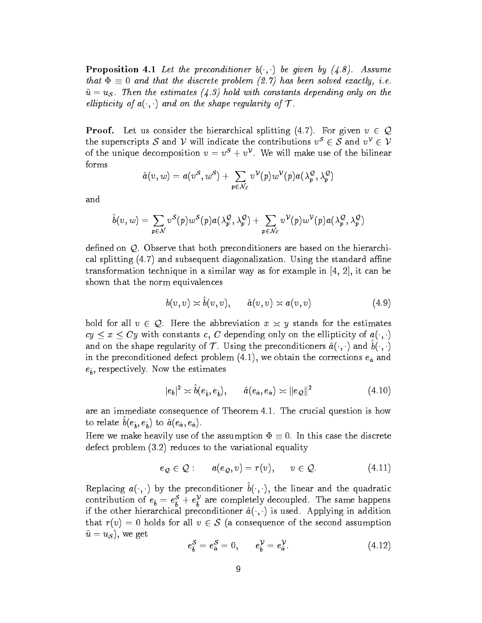**Proposition 4.1** Let the preconditioner  $b(\cdot, \cdot)$  be given by (4.8). Assume that the discrete problem (2.7) has been solved exactly, i.e., i.e., i.e., i.e., i.e., i.e., i.e., i.e., i.e.,  $\alpha$  $\tilde{u} = u_{\mathcal{S}}$ . Then the estimates (4.3) hold with constants depending only on the ellipticity of  $a(\cdot, \cdot)$  and on the shape regularity of  $\mathcal T$ .

**Proof.** Let us consider the hierarchical splitting (4.7). For given  $v \in \mathcal{Q}$ the superscripts S and V will indicate the contributions  $v^S \in S$  and  $v^V \in V$ of the unique decomposition  $v = v^* + v^*$  , we will make use of the bilinear forms

$$
\hat{a}(v,w)=a(v^\mathcal{S},w^\mathcal{S})+\sum_{\bm{p}\in\mathcal{N}_\mathcal{E}}v^\mathcal{V}(\bm{p})w^\mathcal{V}(\bm{p})a(\lambda_{\bm{p}}^\mathcal{Q},\lambda_{\bm{p}}^\mathcal{Q})
$$

and

$$
\hat{b}(v,w)=\sum_{p\in\mathcal{N}}v^{\mathcal{S}}(p)w^{\mathcal{S}}(p)a(\lambda_{p}^{\mathcal{Q}},\lambda_{p}^{\mathcal{Q}})+\sum_{p\in\mathcal{N}_{\mathcal{E}}}v^{\mathcal{V}}(p)w^{\mathcal{V}}(p)a(\lambda_{p}^{\mathcal{Q}},\lambda_{p}^{\mathcal{Q}})
$$

defined on  $Q$ . Observe that both preconditioners are based on the hierarchical splitting  $(4.7)$  and subsequent diagonalization. Using the standard affine transformation technique in a similar way as for example in [4, 2], it can be shown that the norm equivalences

$$
b(v, v) \asymp \ddot{b}(v, v), \qquad \hat{a}(v, v) \asymp a(v, v) \tag{4.9}
$$

hold for all  $v \in \mathcal{Q}$ . Here the abbreviation  $x \times y$  stands for the estimates  $\mathcal{L}_{\mathcal{G}}$  we construct constants c, C depending only on the entrepries  $\mathcal{G}$  or  $\mathcal{G}(i,j)$ and on the shape regularity of T . Using the preconditioners  $a(\cdot, \cdot)$  and  $b(\cdot, \cdot)$ in the preconditioned defect problem  $(4.1)$ , we obtain the corrections  $e_{\hat{a}}$  and  $\epsilon$ <sub>b</sub>, respectively. Now the estimates the estimates

$$
|e_b|^2 \asymp \hat{b}(e_{\hat{b}}, e_{\hat{b}}), \qquad \hat{a}(e_{\hat{a}}, e_{\hat{a}}) \asymp ||e_{\mathcal{Q}}||^2 \tag{4.10}
$$

are an immediate consequence of Theorem 4.1. The crucial question is how to relate  $b(\epsilon^2_b, \epsilon^2_b)$  to  $a(\epsilon^a_a, \epsilon^a_a)$ .

Here we make heavily use of the assumption  $\Phi \equiv 0$ . In this case the discrete defect problem (3.2) reduces to the variational equality

$$
e_{\mathcal{Q}} \in \mathcal{Q} : \qquad a(e_{\mathcal{Q}}, v) = r(v), \qquad v \in \mathcal{Q}. \tag{4.11}
$$

**ILEPRACING**  $a(\cdot, \cdot)$  **by the preconditioner**  $b(\cdot, \cdot)$ **, the linear and the quadratic** contribution of  $e_{\hat{b}} = e_{\hat{b}} + e_{\hat{b}}$  are completely decoupled. The same happens if the other hierarchical preconditioner  $\hat{a}(\cdot, \cdot)$  is used. Applying in addition that  $r(v) = 0$  holds for all  $v \in S$  (a consequence of the second assumption  $\tilde{u} = u_{\mathcal{S}}$ , we get

$$
e_{\hat{b}}^{\mathcal{S}} = e_{\hat{a}}^{\mathcal{S}} = 0, \qquad e_{\hat{b}}^{\mathcal{V}} = e_{\hat{a}}^{\mathcal{V}}.
$$
 (4.12)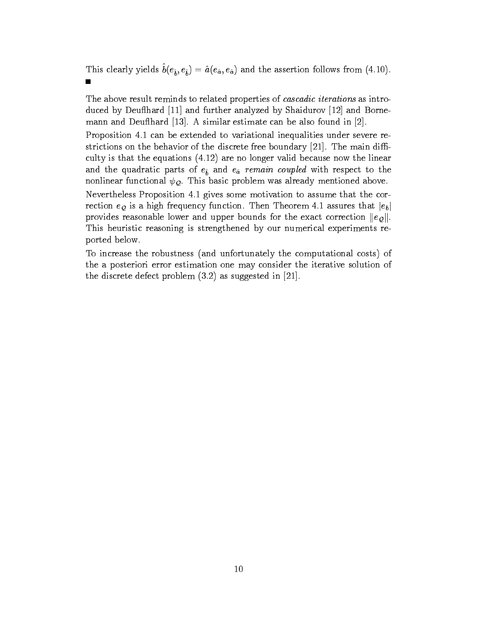This clearly yields  $b(\epsilon^{\mu}_b, \epsilon^{\nu}_b) = a(\epsilon^{\mu}_a, \epsilon^{\mu}_a)$  and the assertion follows from (4.10).  $\blacksquare$ 

The above result reminds to related properties of *cascadic iterations* as introduced by Deu
hard [11] and further analyzed by Shaidurov [12] and Bornemann and Deu
hard [13]. A similar estimate can be also found in [2].

Proposition 4.1 can be extended to variational inequalities under severe restrictions on the behavior of the discrete free boundary [21]. The main difficulty is that the equations (4.12) are no longer valid because now the linear and the quadratic parts of  $e^{\phi}$  and  $e^{\phi}$  remain coupled with respect to the nonlinear functional  $\psi_{\mathcal{Q}}$ . This basic problem was already mentioned above.

Nevertheless Proposition 4.1 gives some motivation to assume that the correction  $e_{\mathcal{Q}}$  is a high frequency function. Then Theorem 4.1 assures that  $|e_b|$ provides reasonable lower and upper bounds for the exact correction  $||e_{Q}||$ . This heuristic reasoning is strengthened by our numerical experiments reported below.

To increase the robustness (and unfortunately the computational costs) of the a posteriori error estimation one may consider the iterative solution of the discrete defect problem (3.2) as suggested in [21].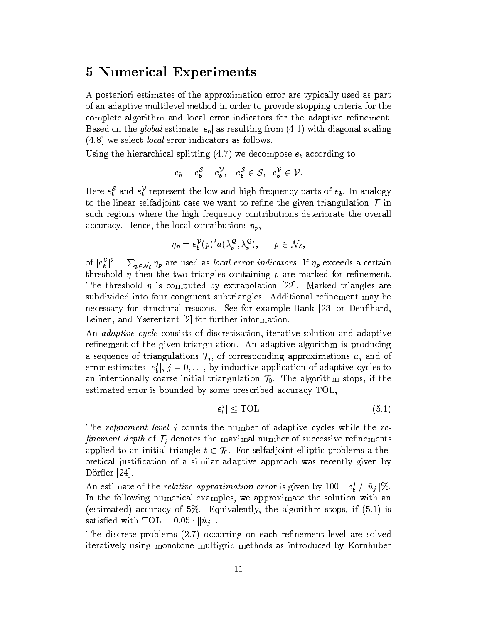#### 5 Numerical Experiments

A posteriori estimates of the approximation error are typically used as part of an adaptive multilevel method in order to provide stopping criteria for the complete algorithm and local error indicators for the adaptive refinement. Based on the global estimate  $|e_b|$  as resulting from (4.1) with diagonal scaling (4.8) we select local error indicators as follows.

Using the hierarchical splitting  $(4.7)$  we decompose  $e_b$  according to

$$
e_b=e_b^{\mathcal{S}}+e_b^{\mathcal{V}},\quad e_b^{\mathcal{S}}\in\mathcal{S},\quad e_b^{\mathcal{V}}\in\mathcal{V}.
$$

Here  $e_b^*$  and  $e_b^*$  represent the low and high frequency parts of  $e_b$ . In analogy to the linear selfadjoint case we want to refine the given triangulation  $\mathcal T$  in such regions where the high frequency contributions deteriorate the overall accuracy. Hence, the local contributions  $\eta_p$ ,

$$
\eta_p=e_b^{\mathcal{V}}(p)^2a(\lambda_p^\mathcal{Q},\lambda_p^\mathcal{Q}),\qquad p\in\mathcal{N}_\mathcal{E},
$$

of  $|e_{b}^{\nu}|^{2} = \sum_{p \in \mathcal{N}_{\mathcal{E}}} \eta_{p}$  are used as *local error indicators*. If  $\eta_{p}$  exceeds a certain threshold  $\bar{\eta}$  then the two triangles containing p are marked for refinement. The threshold  $\bar{\eta}$  is computed by extrapolation [22]. Marked triangles are subdivided into four congruent subtriangles. Additional refinement may be necessary for structural reasons. See for example Bank [23] or Deu
hard, Leinen, and Yserentant [2] for further information.

An adaptive cycle consists of discretization, iterative solution and adaptive refinement of the given triangulation. An adaptive algorithm is producing a sequence of triangulations  $\mathcal{T}_j$ , of corresponding approximations  $\tilde{u}_j$  and of error estimates  $|e_{k}^{2}|$ ,  $\eta = 0, \ldots$ , by inductive application of adaptive cycles to  $\sim$  below the set of  $\sim$ an intentionally coarse initial triangulation  $\mathcal{T}_0$ . The algorithm stops, if the estimated error is bounded by some prescribed accuracy TOL,

$$
|e_b^j| \leq \text{TOL}.\tag{5.1}
$$

The refinement level  $j$  counts the number of adaptive cycles while the refinement depth of  $\mathcal{T}_j$  denotes the maximal number of successive refinements applied to an initial triangle  $t \in \mathcal{T}_0$ . For selfadjoint elliptic problems a theoretical justication of a similar adaptive approach was recently given by Dorfler [24].

An estimate of the *relative approximation error* is given by  $100 \cdot |e^2_b| / ||u_i|| \%$ .  $\sim$  below the set of  $\sim$ In the following numerical examples, we approximate the solution with an (estimated) accuracy of 5%. Equivalently, the algorithm stops, if (5.1) is satisfied with TOL =  $0.05 \cdot ||\tilde{u}_i||$ .

The discrete problems (2.7) occurring on each refinement level are solved iteratively using monotone multigrid methods as introduced by Kornhuber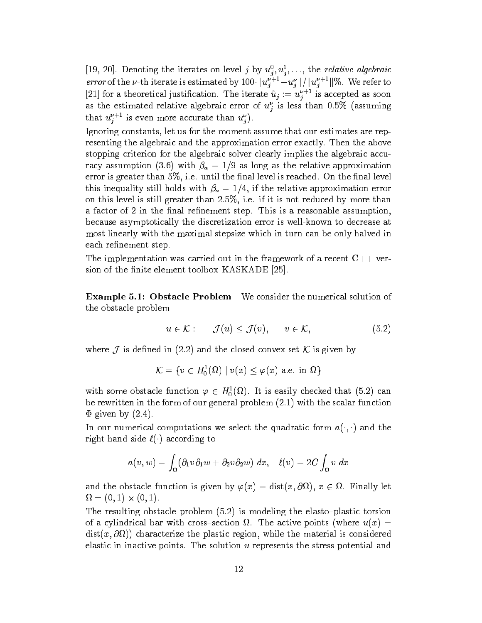[19, 20]. Denoting the iterates on level *j* by  $u_j, u_j, \ldots$ , the *relative algebraic error* of the  $\nu$ -th iterate is estimated by  $100 \cdot ||u_j^* - u_j^*|| / ||u_j^*||$  w. We refer to [21] for a theoretical justincation. The iterate  $u_j := u_j^{++}$  is accepted as soon as the estimated relative algebraic error of  $u_j^-$  is less than 0.5% (assuming that  $u_j^+$  is even more accurate than  $u_j^+$ ).

Ignoring constants, let us for the moment assume that our estimates are representing the algebraic and the approximation error exactly. Then the above stopping criterion for the algebraic solver clearly implies the algebraic accuracy assumption (3.6) with  $\beta_a = 1/9$  as long as the relative approximation error is greater than  $5\%$ , i.e. until the final level is reached. On the final level this inequality still holds with  $\beta_a = 1/4$ , if the relative approximation error on this level is still greater than 2:5%, i.e. if it is not reduced by more than a factor of 2 in the final refinement step. This is a reasonable assumption, because asymptotically the discretization error is well-known to decrease at most linearly with the maximal stepsize which in turn can be only halved in each refinement step.

The implementation was carried out in the framework of a recent  $C++$  version of the finite element toolbox KASKADE [25].

Example 5.1: Obstacle Problem We consider the numerical solution of the obstacle problem

$$
u \in \mathcal{K} : \qquad \mathcal{J}(u) \leq \mathcal{J}(v), \qquad v \in \mathcal{K}, \tag{5.2}
$$

where  $\mathcal{M}$  is defined in (2.2) and the closed convex set  $\mathcal{M}$  is given by the convex set  $\mathcal{M}$ 

$$
\mathcal{K}=\{v\in H^1_0(\Omega)\mid v(x)\leq \varphi(x) \text{ a.e. in }\Omega\}
$$

with some obstacle function  $\varphi \in H_0^1(\Omega)$ . It is easily checked that (5.2) can be rewritten in the form of our general problem (2.1) with the scalar function  $\Phi$  given by  $(2.4)$ .

In our numerical computations we select the quadratic form  $a(\cdot,\cdot)$  and the right hand side  $\ell(\cdot)$  according to

$$
a(v,w)=\int_{\Omega}(\partial_1 v\partial_1 w+\partial_2 v\partial_2 w)\;dx,\ \ \, \ell(v)=2C\int_{\Omega}v\;dx
$$

and the obstacle function is given by  $\varphi(x) = \text{dist}(x, \text{out}) , \, x \in \Omega$ . Finally let  $\blacksquare$ 

The resulting obstacle problem  $(5.2)$  is modeling the elasto-plastic torsion . The active points (where uses sections (where uses active points (where u(x)  $\mu$  $\alpha$ ,  $\alpha$ ,  $\beta$ ,  $\alpha$ ,  $\beta$ ,  $\beta$ ,  $\alpha$ ,  $\beta$ ,  $\alpha$ ,  $\beta$ ,  $\alpha$ ,  $\beta$ ,  $\alpha$ ,  $\beta$ ,  $\alpha$ ,  $\beta$ ,  $\alpha$ ,  $\beta$ ,  $\alpha$ ,  $\beta$ ,  $\alpha$ ,  $\beta$ ,  $\beta$ ,  $\alpha$ ,  $\beta$ ,  $\beta$ ,  $\alpha$ ,  $\beta$ ,  $\alpha$ ,  $\beta$ ,  $\alpha$ ,  $\beta$ ,  $\alpha$ ,  $\beta$ ,  $\alpha$ ,  $\beta$ ,  $\alpha$ , elastic in inactive points. The solution <sup>u</sup> represents the stress potential and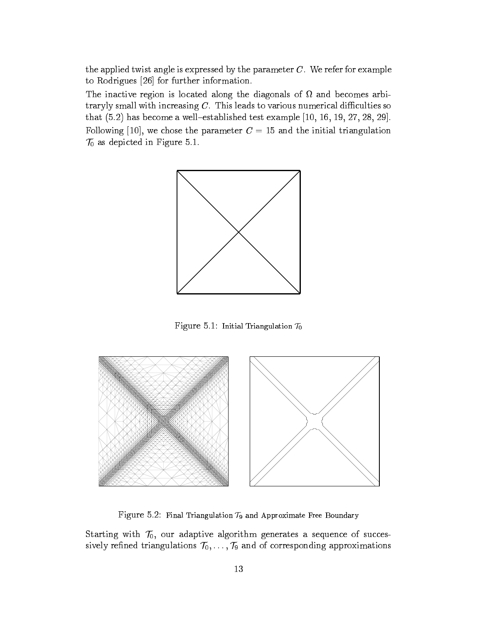the applied twist angle is expressed by the parameter  $C$ . We refer for example to Rodrigues [26] for further information.

The inaction is located along the diagonals of  $\mathbf{A}$ traryly small with increasing  $C$ . This leads to various numerical difficulties so that  $(5.2)$  has become a well-established test example  $[10, 16, 19, 27, 28, 29]$ . Following [10], we chose the parameter  $C = 15$  and the initial triangulation  $\mathcal{T}_0$  as depicted in Figure 5.1.



Figure 5.1: Initial Triangulation  $\mathcal{T}_0$ 



Figure 5.2: Final Triangulation  $\mathcal{T}_9$  and Approximate Free Boundary

Starting with  $\mathcal{T}_0$ , our adaptive algorithm generates a sequence of successively refined triangulations  $\mathcal{T}_0,\ldots,\mathcal{T}_9$  and of corresponding approximations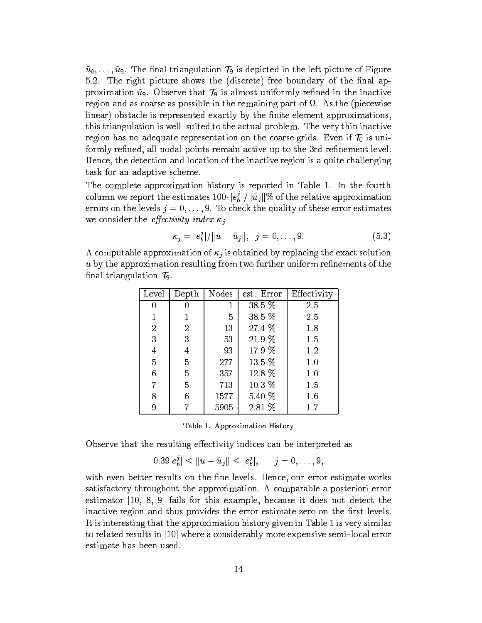$\tilde{u}_0, \ldots, \tilde{u}_9$ . The final triangulation  $\mathcal{T}_9$  is depicted in the left picture of Figure 5.2. The right picture shows the (discrete) free boundary of the final approximation  $\tilde{u}_9$ . Observe that  $\mathcal{T}_9$  is almost uniformly refined in the inactive region and as coarse as possible in the remaining part of . As the (piecewise linear) obstacle is represented exactly by the finite element approximations, this triangulation is well-suited to the actual problem. The very thin inactive region has no adequate representation on the coarse grids. Even if  $\mathcal{T}_0$  is uniformly refined, all nodal points remain active up to the 3rd refinement level. Hence, the detection and location of the inactive region is a quite challenging task for an adaptive scheme.

The complete approximation history is reported in Table 1. In the fourth column we report the estimates  $100 \cdot |e_b^*|/ \Vert u_j \Vert$  % of the relative approximation  $\sim$  below the set of  $\sim$ errors on the levels  $j = 0, \ldots, 9$ . To check the quality of these error estimates we consider the *effectivity* index  $\kappa_i$ 

$$
\kappa_j = |e_b^j|/||u - \tilde{u}_j||, \ \ j = 0, \dots, 9. \tag{5.3}
$$

A computable approximation of  $\kappa_i$  is obtained by replacing the exact solution  $u$  by the approximation resulting from two further uniform refinements of the final triangulation  $\mathcal{T}_9$ .

| Level |                | Depth   Nodes | est. Error | Effectivity |
|-------|----------------|---------------|------------|-------------|
| 0     | 0              | 1             | $38.5\%$   | 2.5         |
|       |                | 5             | 38.5 %     | 2.5         |
| 2     | $\overline{2}$ | 13            | 27.4 %     | 1.8         |
| 3     | 3              | 53            | 21.9 %     | 1.5         |
| 4     | 4              | 93            | 17.9 %     | 1.2         |
| 5     | 5              | 277           | 13.5 %     | 1.0         |
| 6     | 5              | 357           | 12.8 %     | 1.0         |
| 7     | 5              | 713           | 10.3~%     | 1.5         |
| 8     | 6              | 1577          | $5.40\%$   | 1.6         |
| 9     |                | 5905          | $2.81\%$   | 1.7         |

|  | Table 1. Approximation History |  |
|--|--------------------------------|--|
|--|--------------------------------|--|

Observe that the resulting effectivity indices can be interpreted as

$$
0.39|e_b^j| \le ||u - \tilde{u}_j|| \le |e_b^j|, \quad j = 0, \ldots, 9,
$$

with even better results on the fine levels. Hence, our error estimate works satisfactory throughout the approximation. A comparable a posteriori error estimator [10, 8, 9] fails for this example, because it does not detect the inactive region and thus provides the error estimate zero on the first levels. It is interesting that the approximation history given in Table 1 is very similar to related results in  $[10]$  where a considerably more expensive semi-local error estimate has been used.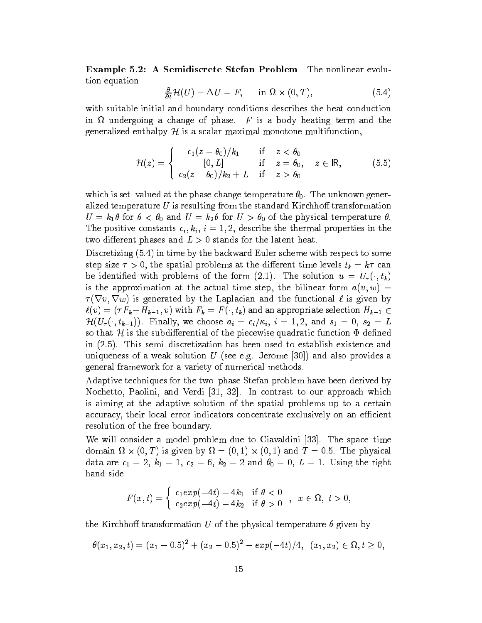Example 5.2: A Semidiscrete Stefan Problem The nonlinear evolution equation

$$
\frac{\partial}{\partial t} \mathcal{H}(U) - \Delta U = F, \quad \text{in } \Omega \times (0, T), \tag{5.4}
$$

with suitable initial and boundary conditions describes the heat conduction in the change of phase. For phase of phase. F is a body heating term and the phase. F is a body heating term and the change of phase. F is a body heating term and the change of phase. F is a body heating term and the chan generalized enthalpy  $H$  is a scalar maximal monotone multifunction,

$$
\mathcal{H}(z) = \begin{cases}\n\mathbf{c}_1(z-\theta_0)/k_1 & \text{if } z < \theta_0 \\
\mathbf{[0,L]} & \text{if } z = \theta_0, \quad z \in \mathbb{R}, \\
\mathbf{c}_2(z-\theta_0)/k_2 + L & \text{if } z > \theta_0\n\end{cases} \tag{5.5}
$$

which is set-valued at the phase change temperature  $\theta_0$ . The unknown generalized temperature  $U$  is resulting from the standard Kirchhoff transformation  $U = k_1 \theta$  for  $\theta < \theta_0$  and  $U = k_2 \theta$  for  $U > \theta_0$  of the physical temperature  $\theta$ . The positive constants  $c_i, k_i, i = 1, 2$ , describe the thermal properties in the two different phases and  $L > 0$  stands for the latent heat.

Discretizing (5.4) in time by the backward Euler scheme with respect to some step size  $\tau > 0$ , the spatial problems at the different time levels  $t_k = k\tau$  can be identified with problems of the form (2.1). The solution  $u = U_{\tau}(\cdot, t_{k})$ is the approximation at the actual time step, the bilinear form  $a(v, w) =$  $\tau(\nabla v, \nabla w)$  is generated by the Laplacian and the functional  $\ell$  is given by  $\ell(v)=(\tau F_{\bm{k}}+H_{\bm{k-1}}, v)$  with  $F_{\bm{k}} = F(\cdot, t_{\bm{k}})$  and an appropriate selection  $H_{\bm{k-1}} \in$  $\mathcal{H}(U_\tau(\cdot, t_{k-1}))$ . Finally, we choose  $a_i = c_i/\kappa_i$ ,  $i = 1, 2$ , and  $s_1 = 0$ ,  $s_2 = L$ so that H is the subdifferential of the piecewise quadratic function  $\Phi$  defined in  $(2.5)$ . This semi-discretization has been used to establish existence and uniqueness of a weak solution  $U$  (see e.g. Jerome [30]) and also provides a general framework for a variety of numerical methods.

Adaptive techniques for the two-phase Stefan problem have been derived by Nochetto, Paolini, and Verdi [31, 32]. In contrast to our approach which is aiming at the adaptive solution of the spatial problems up to a certain accuracy, their local error indicators concentrate exclusively on an efficient resolution of the free boundary.

We will consider a model problem due to Ciavaldini  $[33]$ . The space-time  $\alpha$  ) is given by  $\alpha$ ,  $\alpha$  ,  $\alpha$  ,  $\alpha$  ,  $\alpha$  ,  $\alpha$  ,  $\alpha$  ,  $\alpha$ ,  $\alpha$  ,  $\alpha$  ,  $\alpha$  ,  $\alpha$  ,  $\alpha$  ,  $\alpha$  ,  $\alpha$  ,  $\alpha$  ,  $\alpha$  ,  $\alpha$  ,  $\alpha$  ,  $\alpha$  ,  $\alpha$  ,  $\alpha$  ,  $\alpha$  ,  $\alpha$  ,  $\alpha$  ,  $\alpha$  ,  $\alpha$  ,  $\alpha$  ,  $\alpha$  , data are  $c_1 = 2, k_1 = 1, c_2 = 6, k_2 = 2$  and  $\theta_0 = 0, L = 1$ . Using the right hand side

$$
F(x,t) = \left\{ \begin{array}{ll} c_1 exp(-4t) - 4k_1 & \text{if } \theta < 0 \\ c_2 exp(-4t) - 4k_2 & \text{if } \theta > 0 \end{array} \right. , \;\; x \in \Omega, \; t > 0,
$$

the Kirchhoff transformation U of the physical temperature  $\theta$  given by

$$
\theta(x_1,x_2,t)=(x_1-0.5)^2+(x_2-0.5)^2-exp(-4t)/4,\;\;(x_1,x_2)\in \Omega, t\geq 0,
$$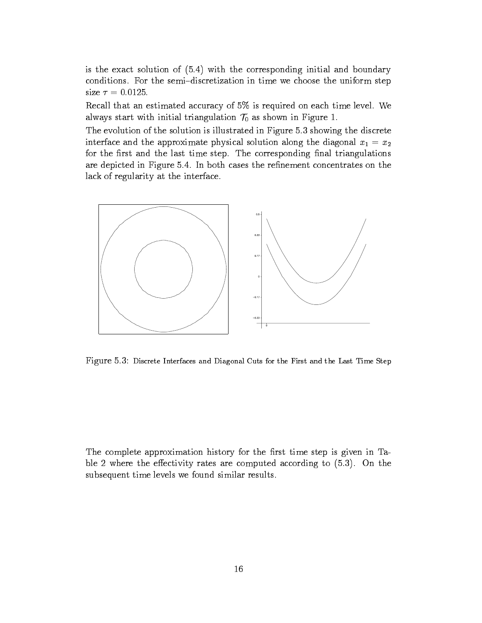is the exact solution of (5.4) with the corresponding initial and boundary conditions. For the semi-discretization in time we choose the uniform step size  $\tau = 0.0125$ .

Recall that an estimated accuracy of 5% is required on each time level. We always start with initial triangulation  $\mathcal{T}_0$  as shown in Figure 1.

The evolution of the solution is illustrated in Figure 5.3 showing the discrete interface and the approximate physical solution along the diagonal  $x_1 = x_2$ for the first and the last time step. The corresponding final triangulations are depicted in Figure 5.4. In both cases the refinement concentrates on the lack of regularity at the interface.



Figure 5.3: Discrete Interfaces and Diagonal Cuts for the First and the Last Time Step

The complete approximation history for the first time step is given in Table 2 where the effectivity rates are computed according to  $(5.3)$ . On the subsequent time levels we found similar results.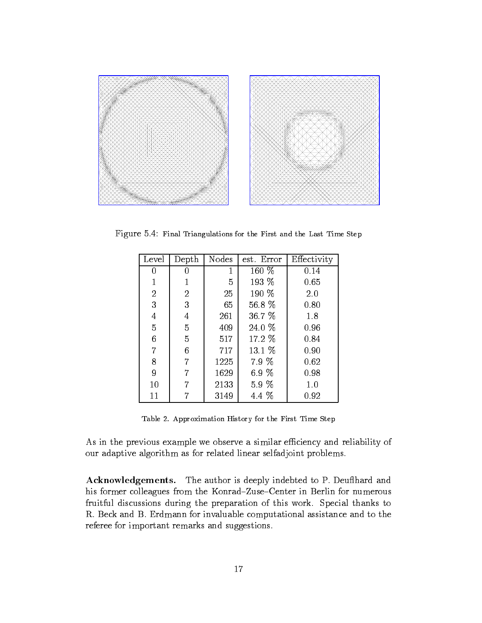

Figure 5.4: Final Triangulations for the First and the Last Time Step

| Level | Depth          | Nodes | est. Error | Effectivity |
|-------|----------------|-------|------------|-------------|
| 0     | 0              | 1     | 160 %      | 0.14        |
| 1     |                | 5     | 193 %      | 0.65        |
| 2     | $\overline{2}$ | 25    | 190 %      | 2.0         |
| 3     | 3              | 65    | 56.8 %     | 0.80        |
| 4     | 4              | 261   | 36.7 %     | 1.8         |
| 5     | 5              | 409   | 24.0 %     | 0.96        |
| 6     | 5              | 517   | 17.2 %     | 0.84        |
| 7     | 6              | 717   | 13.1 %     | 0.90        |
| 8     | 7              | 1225  | 7.9 %      | 0.62        |
| 9     | 7              | 1629  | 6.9 %      | 0.98        |
| 10    | 7              | 2133  | 5.9 %      | 1.0         |
| 11    |                | 3149  | 4.4 %      | 0.92        |

Table 2. Approximation History for the First Time Step

As in the previous example we observe a similar efficiency and reliability of our adaptive algorithm as for related linear selfadjoint problems.

Acknowledgements. The author is deeply indebted to P. Deu
hard and his former colleagues from the Konrad-Zuse-Center in Berlin for numerous fruitful discussions during the preparation of this work. Special thanks to R. Beck and B. Erdmann for invaluable computational assistance and to the referee for important remarks and suggestions.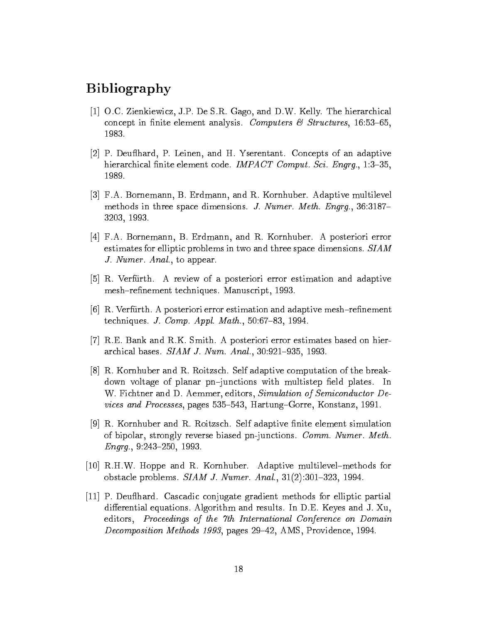### Bibliography

- [1] O.C. Zienkiewicz, J.P. De S.R. Gago, and D.W. Kelly. The hierarchical concept in finite element analysis. Computers  $\mathcal C$  Structures, 16:53-65, 1983.
- [2] P. Deu
hard, P. Leinen, and H. Yserentant. Concepts of an adaptive hierarchical finite element code. IMPACT Comput. Sci. Engrg., 1:3-35, 1989.
- [3] F.A. Bornemann, B. Erdmann, and R. Kornhuber. Adaptive multilevel methods in three space dimensions. J. Numer. Meth. Engrg.,  $36:3187-$ 3203, 1993.
- [4] F.A. Bornemann, B. Erdmann, and R. Kornhuber. A posteriori error estimates for elliptic problems in two and three space dimensions. SIAM J. Numer. Anal., to appear.
- [5] R. Verfurth. A review of a posteriori error estimation and adaptive mesh-refinement techniques. Manuscript, 1993.
- $[6]$  R. Verfurth. A posteriori error estimation and adaptive mesh-refinement techniques. J. Comp. Appl. Math.,  $50:67-83$ , 1994.
- [7] R.E. Bank and R.K. Smith. A posteriori error estimates based on hierarchical bases.  $SIAM$  J. Num. Anal.,  $30:921-935$ , 1993.
- [8] R. Kornhuber and R. Roitzsch. Self adaptive computation of the breakdown voltage of planar pn-junctions with multistep field plates. In W. Fichtner and D. Aemmer, editors, Simulation of Semiconductor Devices and Processes, pages 535–543, Hartung–Gorre, Konstanz, 1991.
- [9] R. Kornhuber and R. Roitzsch. Self adaptive finite element simulation of bipolar, strongly reverse biased pn-junctions. Comm. Numer. Meth.  $Engrg.$ , 9:243-250, 1993.
- [10] R.H.W. Hoppe and R. Kornhuber. Adaptive multilevel{methods for obstacle problems.  $SIAM$  J. Numer. Anal.,  $31(2):301-323$ , 1994.
- [11] P. Deu
hard. Cascadic conjugate gradient methods for elliptic partial differential equations. Algorithm and results. In  $D.E.$  Keyes and J. Xu, editors, Proceedings of the 7th International Conference on Domain Decomposition Methods 1993, pages 29-42, AMS, Providence, 1994.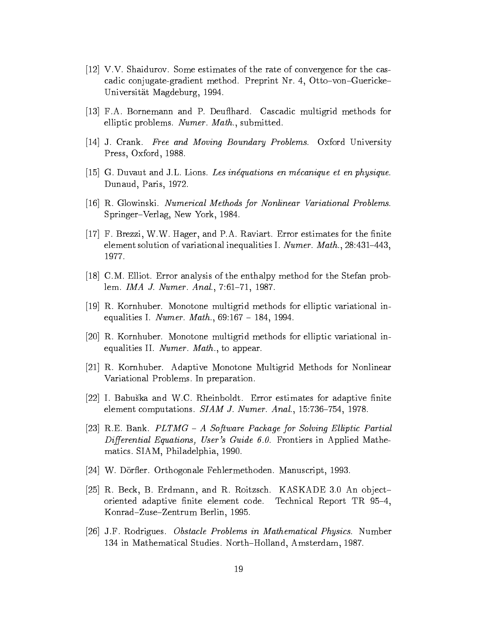- [12] V.V. Shaidurov. Some estimates of the rate of convergence for the cascadic conjugate-gradient method. Preprint Nr. 4, Otto-von-Guericke-Universitat Magdeburg, 1994.
- [13] F.A. Bornemann and P. Deu
hard. Cascadic multigrid methods for elliptic problems. Numer. Math., submitted.
- [14] J. Crank. Free and Moving Boundary Problems. Oxford University Press, Oxford, 1988.
- [15] G. Duvaut and J.L. Lions. Les inequations en mecanique et en physique. Dunaud, Paris, 1972.
- [16] R. Glowinski. Numerical Methods for Nonlinear Variational Problems. Springer-Verlag, New York, 1984.
- $[17]$  F. Brezzi, W.W. Hager, and P.A. Raviart. Error estimates for the finite element solution of variational inequalities I. Numer. Math.,  $28:431-443$ , 1977.
- [18] C.M. Elliot. Error analysis of the enthalpy method for the Stefan problem. IMA J. Numer. Anal., 7:61-71, 1987.
- [19] R. Kornhuber. Monotone multigrid methods for elliptic variational inequalities I. Numer. Math.,  $69:167 - 184$ , 1994.
- [20] R. Kornhuber. Monotone multigrid methods for elliptic variational inequalities II. Numer. Math., to appear.
- [21] R. Kornhuber. Adaptive Monotone Multigrid Methods for Nonlinear Variational Problems. In preparation.
- [22] I. Babuška and W.C. Rheinboldt. Error estimates for adaptive finite element computations.  $SIAM$  J. Numer. Anal., 15:736-754, 1978.
- [23] R.E. Bank.  $PLTMG A$  Software Package for Solving Elliptic Partial Differential Equations, User's Guide 6.0. Frontiers in Applied Mathematics. SIAM, Philadelphia, 1990.
- [24] W. Dörfler. Orthogonale Fehlermethoden. Manuscript, 1993.
- [25] R. Beck, B. Erdmann, and R. Roitzsch. KASKADE 3.0 An objectoriented adaptive finite element code. Technical Report TR 95-4, Konrad-Zuse-Zentrum Berlin, 1995.
- [26] J.F. Rodrigues. Obstacle Problems in Mathematical Physics. Number 134 in Mathematical Studies. North-Holland, Amsterdam, 1987.